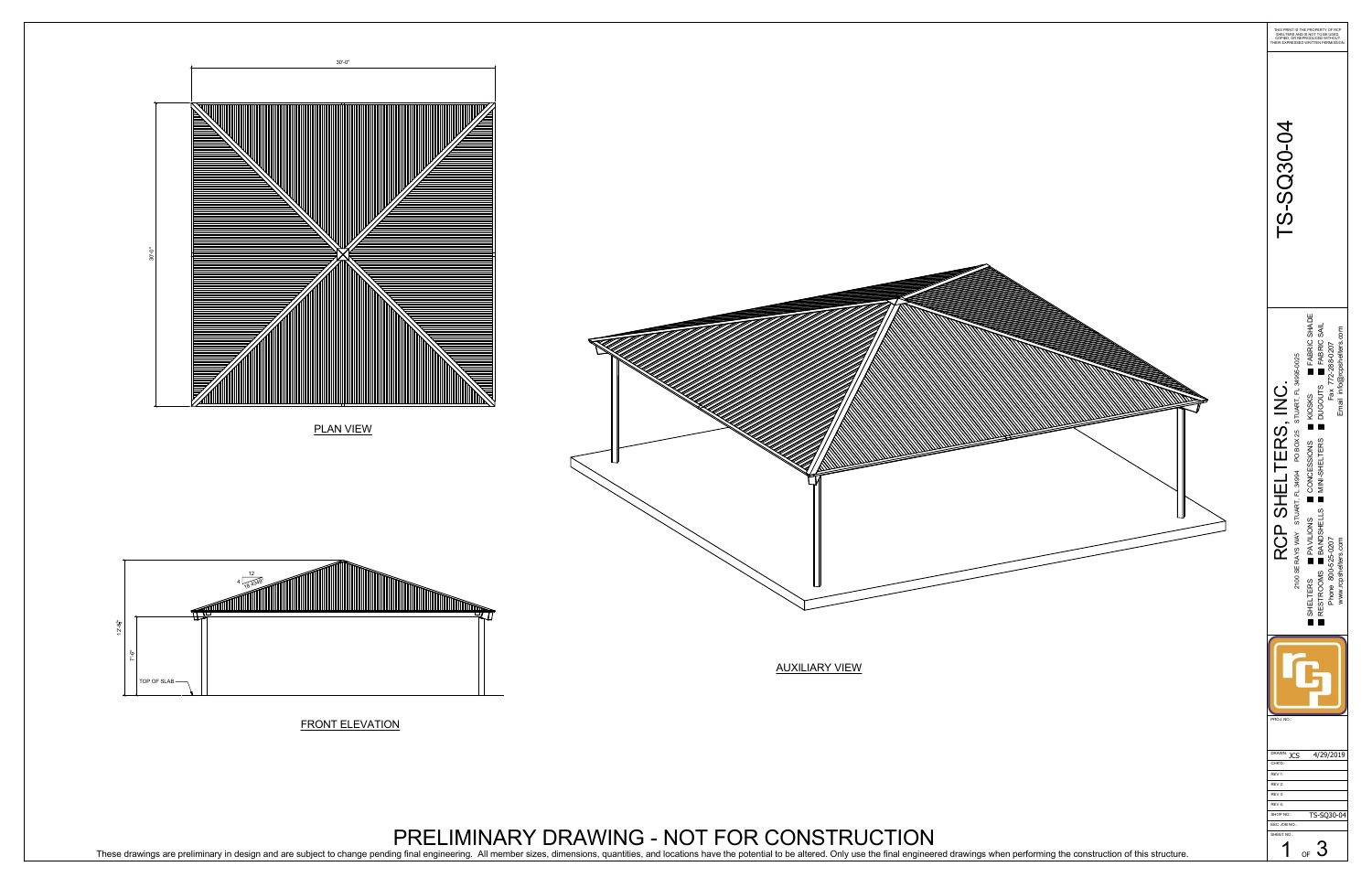FRONT ELEVATION

PRELIMINARY DRAWING - NOT FOR CONSTRUCTION These drawings are preliminary in design and are subject to change pending final engineering. All member sizes, dimensions, quantities, and locations have the potential to be altered. Only use the final engineered drawings



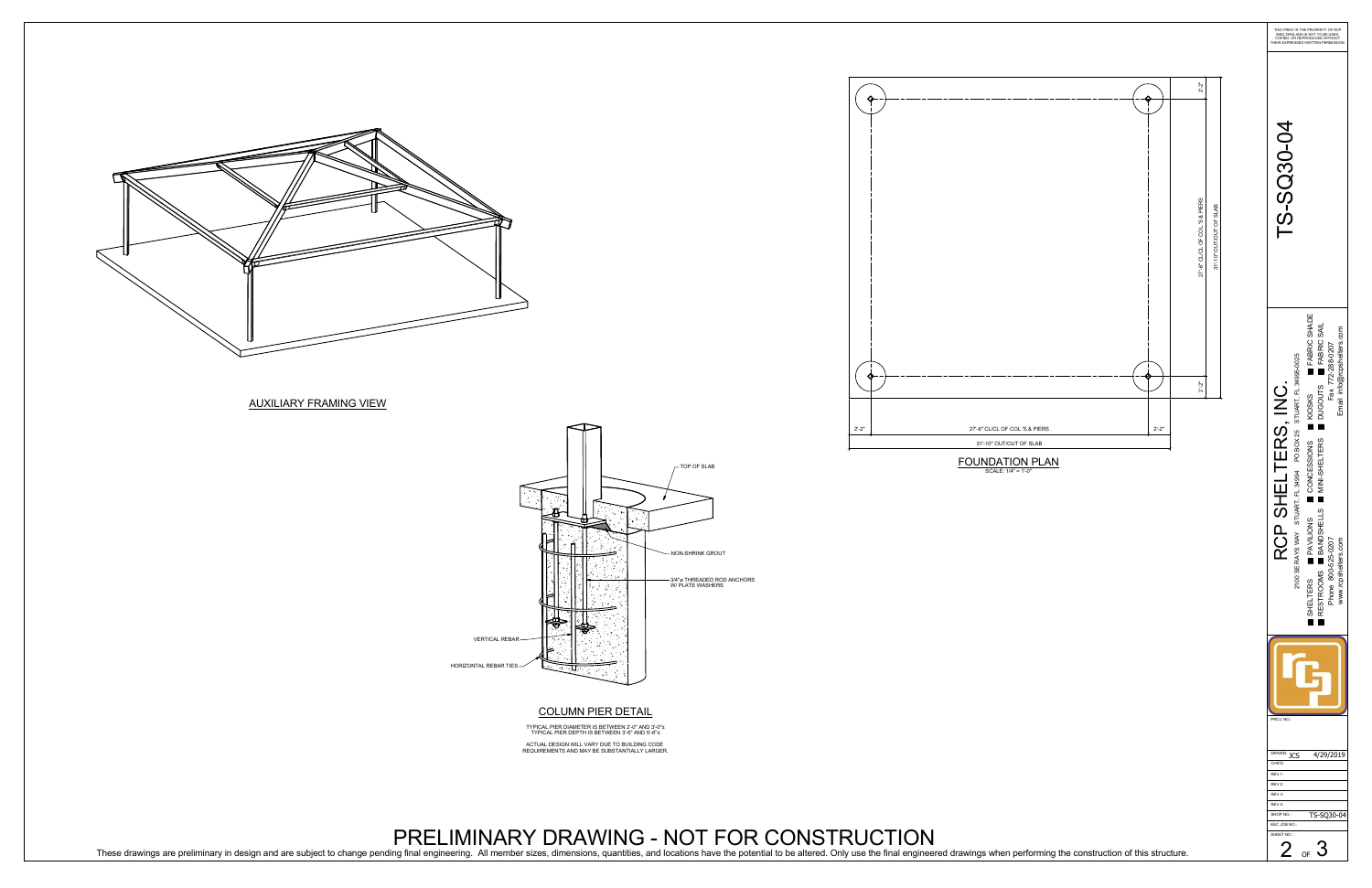

## AUXILIARY FRAMING VIEW

## COLUMN PIER DETAIL

TYPICAL PIER DIAMETER IS BETWEEN 2'-0" AND 3'-0" TYPICAL PIER DEPTH IS BETWEEN 3'-6" AND 5'-6" ACTUAL DESIGN WILL VARY DUE TO BUILDING CODE REQUIREMENTS AND MAY BE SUBSTANTIALLY LARGER.





## PRELIMINARY DRAWING - NOT FOR CONSTRUCTION

VERTICAL REBAR

HORIZONTAL REBAR TIES

These drawings are preliminary in design and are subject to change pending final engineering. All member sizes, dimensions, quantities, and locations have the potential to be altered. Only use the final engineered drawings